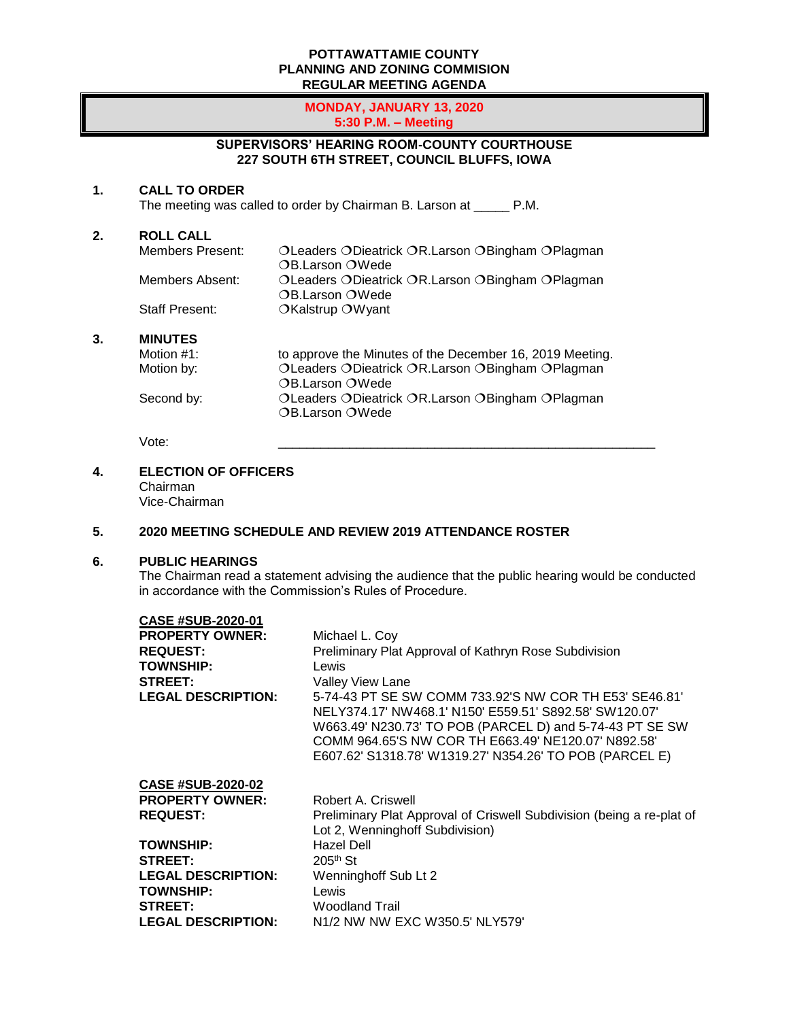#### **POTTAWATTAMIE COUNTY PLANNING AND ZONING COMMISION REGULAR MEETING AGENDA**

#### **MONDAY, JANUARY 13, 2020 5:30 P.M. – Meeting**

## **SUPERVISORS' HEARING ROOM-COUNTY COURTHOUSE 227 SOUTH 6TH STREET, COUNCIL BLUFFS, IOWA**

### **1. CALL TO ORDER**

The meeting was called to order by Chairman B. Larson at \_\_\_\_\_ P.M.

**2. ROLL CALL** OLeaders ODieatrick OR.Larson OBingham OPlagman OB.Larson OWede Members Absent: OLeaders ODieatrick OR.Larson OBingham OPlagman OB.Larson OWede Staff Present: **OKalstrup OWyant 3. MINUTES** Motion #1: to approve the Minutes of the December 16, 2019 Meeting.<br>Motion by: CLeaders ODieatrick OR.Larson OBingham OPlagman OLeaders ODieatrick OR.Larson OBingham OPlagman OB.Larson OWede Second by: 0Leaders ODieatrick OR.Larson OBingham OPlagman OB.Larson OWede

Vote: \_\_\_\_\_\_\_\_\_\_\_\_\_\_\_\_\_\_\_\_\_\_\_\_\_\_\_\_\_\_\_\_\_\_\_\_\_\_\_\_\_\_\_\_\_\_\_\_\_\_\_\_\_

## **4. ELECTION OF OFFICERS**

Chairman Vice-Chairman

## **5. 2020 MEETING SCHEDULE AND REVIEW 2019 ATTENDANCE ROSTER**

#### **6. PUBLIC HEARINGS**

The Chairman read a statement advising the audience that the public hearing would be conducted in accordance with the Commission's Rules of Procedure.

| CASE #SUB-2020-01         |                                                                                                                                                                                                                                                                                                |
|---------------------------|------------------------------------------------------------------------------------------------------------------------------------------------------------------------------------------------------------------------------------------------------------------------------------------------|
| <b>PROPERTY OWNER:</b>    | Michael L. Coy                                                                                                                                                                                                                                                                                 |
| <b>REQUEST:</b>           | Preliminary Plat Approval of Kathryn Rose Subdivision                                                                                                                                                                                                                                          |
| <b>TOWNSHIP:</b>          | Lewis                                                                                                                                                                                                                                                                                          |
| <b>STREET:</b>            | Valley View Lane                                                                                                                                                                                                                                                                               |
| <b>LEGAL DESCRIPTION:</b> | 5-74-43 PT SE SW COMM 733.92'S NW COR TH E53' SE46.81'<br>NELY374.17' NW468.1' N150' E559.51' S892.58' SW120.07'<br>W663.49' N230.73' TO POB (PARCEL D) and 5-74-43 PT SE SW<br>COMM 964.65'S NW COR TH E663.49' NE120.07' N892.58'<br>E607.62' S1318.78' W1319.27' N354.26' TO POB (PARCEL E) |
| <b>CASE #SUB-2020-02</b>  |                                                                                                                                                                                                                                                                                                |
| <b>PROPERTY OWNER:</b>    | Robert A. Criswell                                                                                                                                                                                                                                                                             |
| <b>REQUEST:</b>           | Preliminary Plat Approval of Criswell Subdivision (being a re-plat of<br>Lot 2, Wenninghoff Subdivision)                                                                                                                                                                                       |
| <b>TOWNSHIP:</b>          | Hazel Dell                                                                                                                                                                                                                                                                                     |
| <b>STREET:</b>            | $205th$ St                                                                                                                                                                                                                                                                                     |
| <b>LEGAL DESCRIPTION:</b> | Wenninghoff Sub Lt 2                                                                                                                                                                                                                                                                           |
| <b>TOWNSHIP:</b>          | Lewis                                                                                                                                                                                                                                                                                          |
| <b>STREET:</b>            | <b>Woodland Trail</b>                                                                                                                                                                                                                                                                          |
| <b>LEGAL DESCRIPTION:</b> | N <sub>1</sub> /2 NW NW EXC W <sub>350.5</sub> ' NLY <sub>579</sub> '                                                                                                                                                                                                                          |